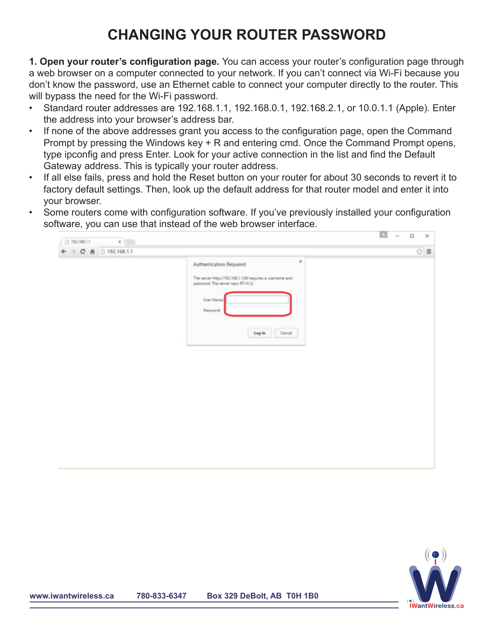## **CHANGING YOUR ROUTER PASSWORD**

**1. Open your router's configuration page.** You can access your router's configuration page through a web browser on a computer connected to your network. If you can't connect via Wi-Fi because you don't know the password, use an Ethernet cable to connect your computer directly to the router. This will bypass the need for the Wi-Fi password.

- Standard router addresses are 192.168.1.1, 192.168.0.1, 192.168.2.1, or 10.0.1.1 (Apple). Enter the address into your browser's address bar.
- If none of the above addresses grant you access to the configuration page, open the Command Prompt by pressing the Windows key + R and entering cmd. Once the Command Prompt opens, type ipconfig and press Enter. Look for your active connection in the list and find the Default Gateway address. This is typically your router address.
- If all else fails, press and hold the Reset button on your router for about 30 seconds to revert it to factory default settings. Then, look up the default address for that router model and enter it into your browser.
- Some routers come with configuration software. If you've previously installed your configuration software, you can use that instead of the web browser interface.



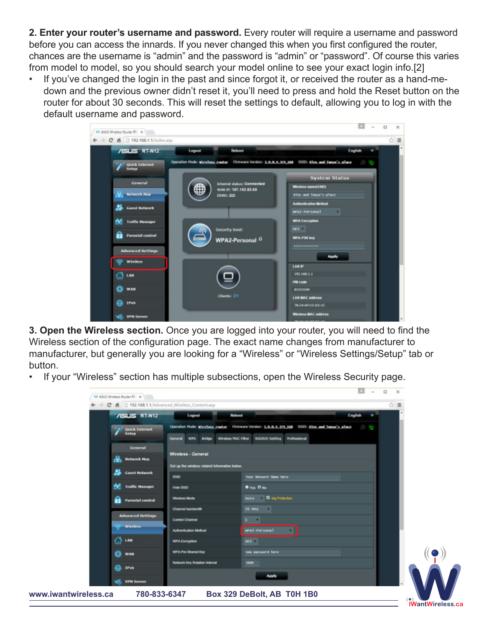**2. Enter your router's username and password.** Every router will require a username and password before you can access the innards. If you never changed this when you first configured the router, chances are the username is "admin" and the password is "admin" or "password". Of course this varies from model to model, so you should search your model online to see your exact login info.[2]

• If you've changed the login in the past and since forgot it, or received the router as a hand-medown and the previous owner didn't reset it, you'll need to press and hold the Reset button on the router for about 30 seconds. This will reset the settings to default, allowing you to log in with the default username and password.



**3. Open the Wireless section.** Once you are logged into your router, you will need to find the Wireless section of the configuration page. The exact name changes from manufacturer to manufacturer, but generally you are looking for a "Wireless" or "Wireless Settings/Setup" tab or button.

• If your "Wireless" section has multiple subsections, open the Wireless Security page.

|                                |                                                  |                                              |                                                                                                      |         | . |             |                         |
|--------------------------------|--------------------------------------------------|----------------------------------------------|------------------------------------------------------------------------------------------------------|---------|---|-------------|-------------------------|
|                                | C fi   192.168.1.1/Advanced Wireless Content.asp |                                              |                                                                                                      |         |   | $\hat{z}$ = |                         |
|                                | <b>/ISUS RT-N12</b>                              | Reboot<br>Logout                             |                                                                                                      | English |   |             |                         |
| <b>Quick Internet</b><br>Setup |                                                  |                                              | Operation Mode: Winelless neater Firmware Version: 3.0.0.4.374.368 SSID: Allex and Tanya's place ( ) |         |   |             |                         |
|                                |                                                  | Windess MAC Filter<br>General WPS Bridge     | Professional<br><b>RADBUS Setting</b>                                                                |         |   |             |                         |
|                                | Gemeral                                          |                                              |                                                                                                      |         |   |             |                         |
|                                | ዱ<br><b>Network Map</b>                          | <b>Wireless - General</b>                    |                                                                                                      |         |   |             |                         |
|                                | <b>Guest Network</b>                             | Set up the windess related information below |                                                                                                      |         |   |             |                         |
|                                |                                                  | 550                                          | Your Network Name Here                                                                               |         |   |             |                         |
|                                | <b>Traffic Manager</b>                           | <b>Hide SSO</b>                              | O Yes O No.                                                                                          |         |   |             |                         |
|                                | a<br><b>Parental control</b>                     | Wireless Mode                                | Auto <b>G</b> big Protection                                                                         |         |   |             |                         |
|                                | <b>Advanced Settings</b>                         | <b>Channel bandwidth</b>                     | 20 MHz                                                                                               |         |   |             |                         |
|                                | Windows                                          | Control Channel                              | $1 - 1$                                                                                              |         |   |             |                         |
|                                |                                                  | <b>Authentication Method</b>                 | <b>MAZ-Personal</b>                                                                                  |         |   |             |                         |
|                                | G3 LAN                                           | <b>WPA Encryption</b>                        | AES II                                                                                               |         |   |             |                         |
|                                | Ð<br><b>WAN</b>                                  | <b>WPA Pre-Shared Key</b>                    | new password here                                                                                    |         |   |             |                         |
|                                | Ba iPv6                                          | <b>Network Key Rotation Interval</b>         | 1600                                                                                                 |         |   |             |                         |
|                                |                                                  |                                              | <b>Apply</b>                                                                                         |         |   |             |                         |
|                                | vB.<br><b>VFW Server</b>                         |                                              |                                                                                                      |         |   |             |                         |
| www.iwantwireless.ca           | 780-833-6347                                     |                                              | Box 329 DeBolt, AB T0H 1B0                                                                           |         |   |             |                         |
|                                |                                                  |                                              |                                                                                                      |         |   |             | <b>IWantWireless.ca</b> |

 $\sim$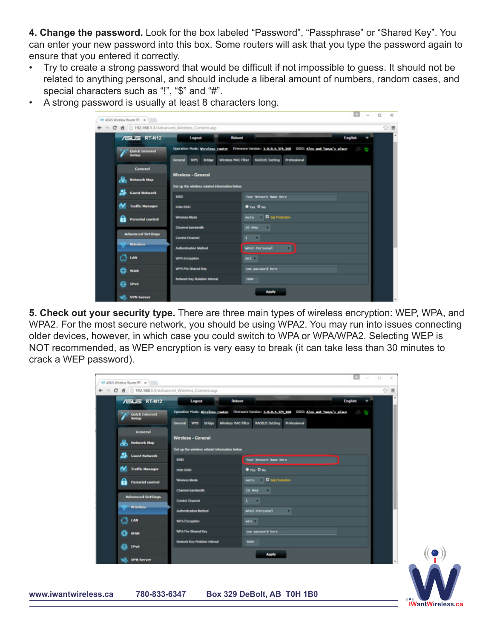**4. Change the password.** Look for the box labeled "Password", "Passphrase" or "Shared Key". You can enter your new password into this box. Some routers will ask that you type the password again to ensure that you entered it correctly.

- Try to create a strong password that would be difficult if not impossible to guess. It should not be related to anything personal, and should include a liberal amount of numbers, random cases, and special characters such as "!", "\$" and "#".
- A strong password is usually at least 8 characters long.

| $\leftarrow$ $\rightarrow$ $\mathbf{C}$ fi $\Box$ 192.168.1.1/Advanced Wireless Content.asp |                                               |                                                                                                                                                             |                | $\circ$ = |
|---------------------------------------------------------------------------------------------|-----------------------------------------------|-------------------------------------------------------------------------------------------------------------------------------------------------------------|----------------|-----------|
| <b>ASUS RT-N12</b>                                                                          | Logout<br>Reboot                              |                                                                                                                                                             | <b>English</b> |           |
| <b>Quick Internet</b><br>Setup                                                              | General<br>wrs Bridge                         | Operation Mode: WineTess. router Firmware Version: 3.0.0.4.374.368 SSID: Allex and Tanya's place ( )<br>Wireless MAC Filter   RACEUS Setting   Professional |                |           |
| <b>General</b>                                                                              | Wireless - General                            |                                                                                                                                                             |                |           |
| ፌ<br><b>Network Map</b>                                                                     | Set up the wireless related information below |                                                                                                                                                             |                |           |
| 25<br><b>Guest Network</b>                                                                  | 550                                           | Your Network Name Here                                                                                                                                      |                |           |
| N.<br><b>Traffic Manager</b>                                                                | <b>Hide SSID</b>                              | <b>O</b> Yes O No.                                                                                                                                          |                |           |
| A<br><b>Parental control</b>                                                                | <b>Wireless Mode</b>                          | Auto <b>G</b> big Profection                                                                                                                                |                |           |
|                                                                                             | <b>Channel bandwidth</b>                      | 20 MHz                                                                                                                                                      |                |           |
| <b>Advanced Settings</b>                                                                    | <b>Control Channel</b>                        | $1 - 1$                                                                                                                                                     |                |           |
| Windows                                                                                     | <b>Authentication Method</b>                  | MAZ-Personal                                                                                                                                                |                |           |
| <u>ි හා</u>                                                                                 | <b>WPA Encryption</b>                         | ACC IT                                                                                                                                                      |                |           |
| ⊕<br><b>WAN</b>                                                                             | <b>WPA Pre-Shared Key</b>                     | new password here                                                                                                                                           |                |           |
| a<br><b>IPv6</b>                                                                            | <b>Network Key Rotation Interval</b>          | 1600                                                                                                                                                        |                |           |
| <b>VPN Server</b><br>w.                                                                     |                                               | Apply                                                                                                                                                       |                |           |

**5. Check out your security type.** There are three main types of wireless encryption: WEP, WPA, and WPA2. For the most secure network, you should be using WPA2. You may run into issues connecting older devices, however, in which case you could switch to WPA or WPA/WPA2. Selecting WEP is NOT recommended, as WEP encryption is very easy to break (it can take less than 30 minutes to crack a WEP password).

| <b>/ISUS RT-N12</b>          | Logout<br>Reboot                              | <b>English</b>                                                                                            |  |
|------------------------------|-----------------------------------------------|-----------------------------------------------------------------------------------------------------------|--|
| Quick Internet               |                                               | Operation Hode: Winelings reader: Firmware Version: 1.0.0.4.124 168 SSID: Alex. and Tanya's place [1] [2] |  |
|                              |                                               | General WPS Bridge Wireless MACTRer KADTUS Setting Professional                                           |  |
| General                      | <b>Wireless - General</b>                     |                                                                                                           |  |
| ൿ<br><b>Network Map</b>      | Set up the wireless related information below |                                                                                                           |  |
| 23<br><b>Cuest Network</b>   | 550                                           | Your Network Name there                                                                                   |  |
| N.<br><b>Traffic Hanager</b> | <b>Hide 550</b>                               | <b>O</b> You O No                                                                                         |  |
| a<br><b>Parental control</b> | <b>Wineless Mode</b>                          | Auto <b>D</b> big Projection                                                                              |  |
|                              | <b>Channel bandwidth</b>                      | 20 MHz                                                                                                    |  |
| <b>Advanced Settings</b>     | <b>Control Channel</b>                        | $\cdots$                                                                                                  |  |
| <b>Wireless</b>              | <b>Authentication Method</b>                  | WPA2-Personal                                                                                             |  |
| റ്റെ ശ                       | <b>WPA Encryption</b>                         | ALS I                                                                                                     |  |
| o<br>WAN                     | WPA Pre-Shared Key                            | now password here                                                                                         |  |
| ഒ<br><b>IPv6</b>             | <b>Network Key Rotation Interval</b>          | 3600                                                                                                      |  |
|                              |                                               | Apply                                                                                                     |  |
| <b>WHI Server</b>            |                                               |                                                                                                           |  |